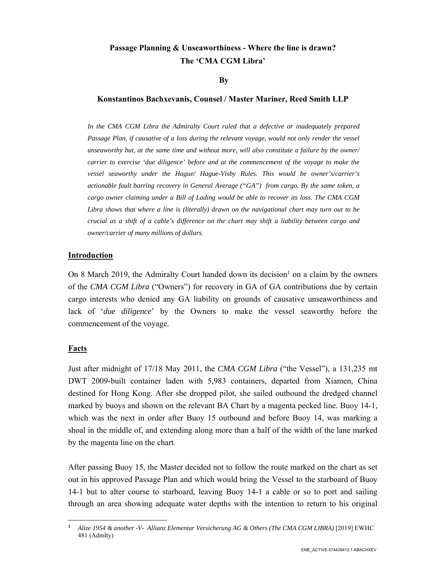# **Passage Planning & Unseaworthiness - Where the line is drawn? The 'CMA CGM Libra'**

### **By**

## **Konstantinos Bachxevanis, Counsel / Master Mariner, Reed Smith LLP**

*In the CMA CGM Libra the Admiralty Court ruled that a defective or inadequately prepared Passage Plan, if causative of a loss during the relevant voyage, would not only render the vessel unseaworthy but, at the same time and without more, will also constitute a failure by the owner/ carrier to exercise 'due diligence' before and at the commencement of the voyage to make the vessel seaworthy under the Hague/ Hague-Visby Rules. This would be owner's/carrier's actionable fault barring recovery in General Average ("GA") from cargo. By the same token, a cargo owner claiming under a Bill of Lading would be able to recover its loss. The CMA CGM Libra shows that where a line is (literally) drawn on the navigational chart may turn out to be crucial as a shift of a cable's difference on the chart may shift a liability between cargo and owner/carrier of many millions of dollars.* 

## **Introduction**

On 8 March 2019, the Admiralty Court handed down its decision<sup>1</sup> on a claim by the owners of the *CMA CGM Libra* ("Owners") for recovery in GA of GA contributions due by certain cargo interests who denied any GA liability on grounds of causative unseaworthiness and lack of '*due diligence*' by the Owners to make the vessel seaworthy before the commencement of the voyage.

# **Facts**

Just after midnight of 17/18 May 2011, the *CMA CGM Libra* ("the Vessel"), a 131,235 mt DWT 2009-built container laden with 5,983 containers, departed from Xiamen, China destined for Hong Kong. After she dropped pilot, she sailed outbound the dredged channel marked by buoys and shown on the relevant BA Chart by a magenta pecked line. Buoy 14-1, which was the next in order after Buoy 15 outbound and before Buoy 14, was marking a shoal in the middle of, and extending along more than a half of the width of the lane marked by the magenta line on the chart.

After passing Buoy 15, the Master decided not to follow the route marked on the chart as set out in his approved Passage Plan and which would bring the Vessel to the starboard of Buoy 14-1 but to alter course to starboard, leaving Buoy 14-1 a cable or so to port and sailing through an area showing adequate water depths with the intention to return to his original

**<sup>1</sup>** *Alize 1954 & another -V- Allianz Elementar Versicherung AG & Others (The CMA CGM LIBRA)* [2019] EWHC 481 (Admlty)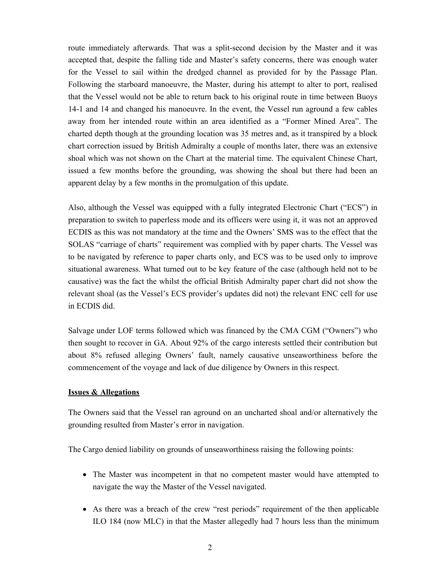route immediately afterwards. That was a split-second decision by the Master and it was accepted that, despite the falling tide and Master's safety concerns, there was enough water for the Vessel to sail within the dredged channel as provided for by the Passage Plan. Following the starboard manoeuvre, the Master, during his attempt to alter to port, realised that the Vessel would not be able to return back to his original route in time between Buoys 14-1 and 14 and changed his manoeuvre. In the event, the Vessel run aground a few cables away from her intended route within an area identified as a "Former Mined Area". The charted depth though at the grounding location was 35 metres and, as it transpired by a block chart correction issued by British Admiralty a couple of months later, there was an extensive shoal which was not shown on the Chart at the material time. The equivalent Chinese Chart, issued a few months before the grounding, was showing the shoal but there had been an apparent delay by a few months in the promulgation of this update.

Also, although the Vessel was equipped with a fully integrated Electronic Chart ("ECS") in preparation to switch to paperless mode and its officers were using it, it was not an approved ECDIS as this was not mandatory at the time and the Owners' SMS was to the effect that the SOLAS "carriage of charts" requirement was complied with by paper charts. The Vessel was to be navigated by reference to paper charts only, and ECS was to be used only to improve situational awareness. What turned out to be key feature of the case (although held not to be causative) was the fact the whilst the official British Admiralty paper chart did not show the relevant shoal (as the Vessel's ECS provider's updates did not) the relevant ENC cell for use in ECDIS did.

Salvage under LOF terms followed which was financed by the CMA CGM ("Owners") who then sought to recover in GA. About 92% of the cargo interests settled their contribution but about 8% refused alleging Owners' fault, namely causative unseaworthiness before the commencement of the voyage and lack of due diligence by Owners in this respect.

### **Issues & Allegations**

The Owners said that the Vessel ran aground on an uncharted shoal and/or alternatively the grounding resulted from Master's error in navigation.

The Cargo denied liability on grounds of unseaworthiness raising the following points:

- The Master was incompetent in that no competent master would have attempted to navigate the way the Master of the Vessel navigated.
- As there was a breach of the crew "rest periods" requirement of the then applicable ILO 184 (now MLC) in that the Master allegedly had 7 hours less than the minimum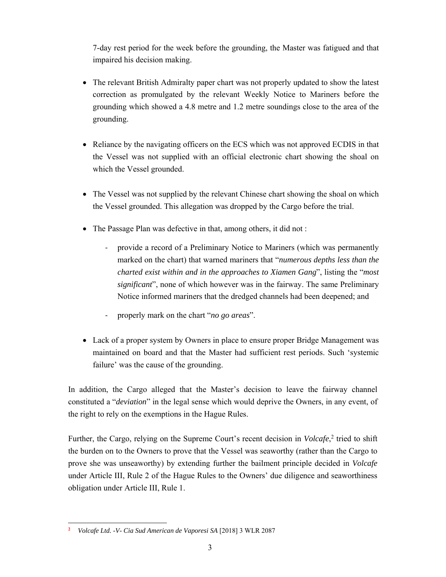7-day rest period for the week before the grounding, the Master was fatigued and that impaired his decision making.

- The relevant British Admiralty paper chart was not properly updated to show the latest correction as promulgated by the relevant Weekly Notice to Mariners before the grounding which showed a 4.8 metre and 1.2 metre soundings close to the area of the grounding.
- Reliance by the navigating officers on the ECS which was not approved ECDIS in that the Vessel was not supplied with an official electronic chart showing the shoal on which the Vessel grounded.
- The Vessel was not supplied by the relevant Chinese chart showing the shoal on which the Vessel grounded. This allegation was dropped by the Cargo before the trial.
- The Passage Plan was defective in that, among others, it did not :
	- ‐ provide a record of a Preliminary Notice to Mariners (which was permanently marked on the chart) that warned mariners that "*numerous depths less than the charted exist within and in the approaches to Xiamen Gang*", listing the "*most significant*", none of which however was in the fairway. The same Preliminary Notice informed mariners that the dredged channels had been deepened; and
	- ‐ properly mark on the chart "*no go areas*".
- Lack of a proper system by Owners in place to ensure proper Bridge Management was maintained on board and that the Master had sufficient rest periods. Such 'systemic failure' was the cause of the grounding.

In addition, the Cargo alleged that the Master's decision to leave the fairway channel constituted a "*deviation*" in the legal sense which would deprive the Owners, in any event, of the right to rely on the exemptions in the Hague Rules.

Further, the Cargo, relying on the Supreme Court's recent decision in *Volcafe*, 2 tried to shift the burden on to the Owners to prove that the Vessel was seaworthy (rather than the Cargo to prove she was unseaworthy) by extending further the bailment principle decided in *Volcafe* under Article III, Rule 2 of the Hague Rules to the Owners' due diligence and seaworthiness obligation under Article III, Rule 1.

 $\overline{a}$ 

**<sup>2</sup>** *Volcafe Ltd. -V- Cia Sud American de Vaporesi SA* [2018] 3 WLR 2087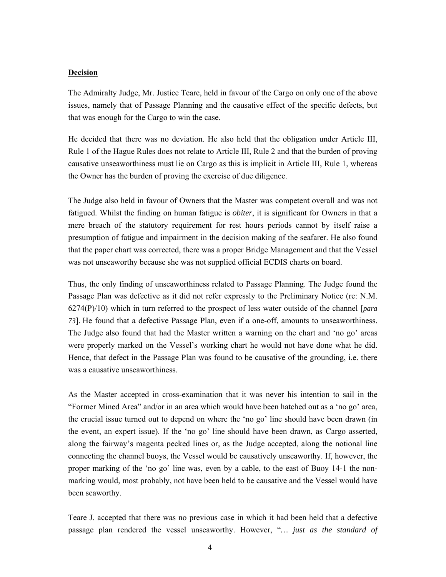## **Decision**

The Admiralty Judge, Mr. Justice Teare, held in favour of the Cargo on only one of the above issues, namely that of Passage Planning and the causative effect of the specific defects, but that was enough for the Cargo to win the case.

He decided that there was no deviation. He also held that the obligation under Article III, Rule 1 of the Hague Rules does not relate to Article III, Rule 2 and that the burden of proving causative unseaworthiness must lie on Cargo as this is implicit in Article III, Rule 1, whereas the Owner has the burden of proving the exercise of due diligence.

The Judge also held in favour of Owners that the Master was competent overall and was not fatigued. Whilst the finding on human fatigue is *obiter*, it is significant for Owners in that a mere breach of the statutory requirement for rest hours periods cannot by itself raise a presumption of fatigue and impairment in the decision making of the seafarer. He also found that the paper chart was corrected, there was a proper Bridge Management and that the Vessel was not unseaworthy because she was not supplied official ECDIS charts on board.

Thus, the only finding of unseaworthiness related to Passage Planning. The Judge found the Passage Plan was defective as it did not refer expressly to the Preliminary Notice (re: N.M. 6274(P)/10) which in turn referred to the prospect of less water outside of the channel [*para 73*]. He found that a defective Passage Plan, even if a one-off, amounts to unseaworthiness. The Judge also found that had the Master written a warning on the chart and 'no go' areas were properly marked on the Vessel's working chart he would not have done what he did. Hence, that defect in the Passage Plan was found to be causative of the grounding, i.e. there was a causative unseaworthiness.

As the Master accepted in cross-examination that it was never his intention to sail in the "Former Mined Area" and/or in an area which would have been hatched out as a 'no go' area, the crucial issue turned out to depend on where the 'no go' line should have been drawn (in the event, an expert issue). If the 'no go' line should have been drawn, as Cargo asserted, along the fairway's magenta pecked lines or, as the Judge accepted, along the notional line connecting the channel buoys, the Vessel would be causatively unseaworthy. If, however, the proper marking of the 'no go' line was, even by a cable, to the east of Buoy 14-1 the nonmarking would, most probably, not have been held to be causative and the Vessel would have been seaworthy.

Teare J. accepted that there was no previous case in which it had been held that a defective passage plan rendered the vessel unseaworthy. However, "*… just as the standard of*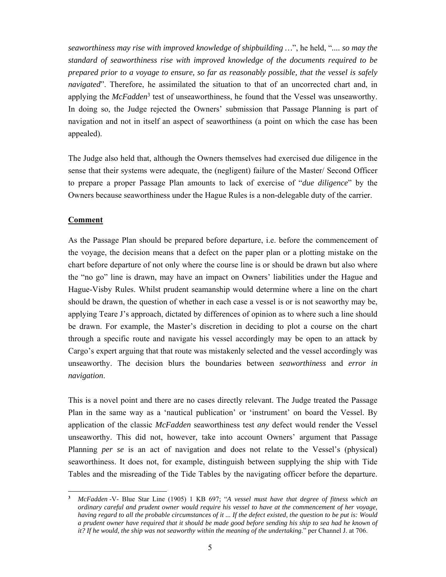*seaworthiness may rise with improved knowledge of shipbuilding …*", he held, "*.... so may the standard of seaworthiness rise with improved knowledge of the documents required to be prepared prior to a voyage to ensure, so far as reasonably possible, that the vessel is safely navigated*". Therefore, he assimilated the situation to that of an uncorrected chart and, in applying the *McFadden*<sup>3</sup> test of unseaworthiness, he found that the Vessel was unseaworthy. In doing so, the Judge rejected the Owners' submission that Passage Planning is part of navigation and not in itself an aspect of seaworthiness (a point on which the case has been appealed).

The Judge also held that, although the Owners themselves had exercised due diligence in the sense that their systems were adequate, the (negligent) failure of the Master/ Second Officer to prepare a proper Passage Plan amounts to lack of exercise of "*due diligence*" by the Owners because seaworthiness under the Hague Rules is a non-delegable duty of the carrier.

## **Comment**

 $\overline{a}$ 

As the Passage Plan should be prepared before departure, i.e. before the commencement of the voyage, the decision means that a defect on the paper plan or a plotting mistake on the chart before departure of not only where the course line is or should be drawn but also where the "no go" line is drawn, may have an impact on Owners' liabilities under the Hague and Hague-Visby Rules. Whilst prudent seamanship would determine where a line on the chart should be drawn, the question of whether in each case a vessel is or is not seaworthy may be, applying Teare J's approach, dictated by differences of opinion as to where such a line should be drawn. For example, the Master's discretion in deciding to plot a course on the chart through a specific route and navigate his vessel accordingly may be open to an attack by Cargo's expert arguing that that route was mistakenly selected and the vessel accordingly was unseaworthy. The decision blurs the boundaries between *seaworthiness* and *error in navigation*.

This is a novel point and there are no cases directly relevant. The Judge treated the Passage Plan in the same way as a 'nautical publication' or 'instrument' on board the Vessel. By application of the classic *McFadden* seaworthiness test *any* defect would render the Vessel unseaworthy. This did not, however, take into account Owners' argument that Passage Planning *per se* is an act of navigation and does not relate to the Vessel's (physical) seaworthiness. It does not, for example, distinguish between supplying the ship with Tide Tables and the misreading of the Tide Tables by the navigating officer before the departure.

**<sup>3</sup>** *McFadden* -V- Blue Star Line (1905) 1 KB 697; "*A vessel must have that degree of fitness which an ordinary careful and prudent owner would require his vessel to have at the commencement of her voyage, having regard to all the probable circumstances of it ... If the defect existed, the question to be put is: Would a prudent owner have required that it should be made good before sending his ship to sea had he known of it? If he would, the ship was not seaworthy within the meaning of the undertaking.*" per Channel J. at 706.